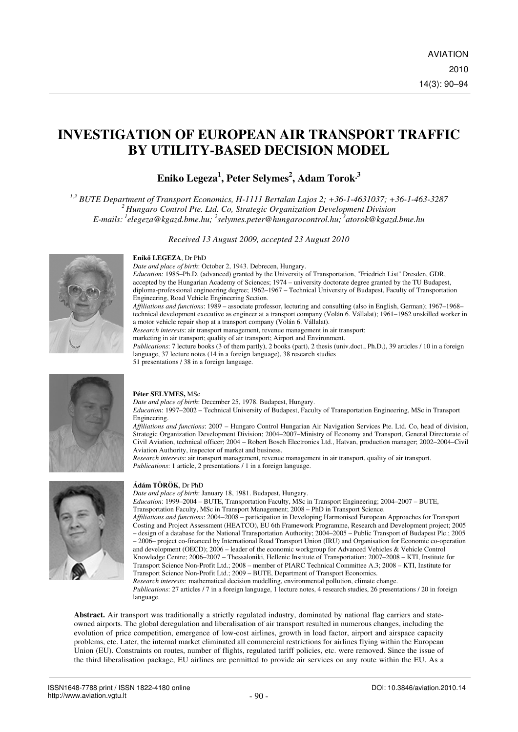# **INVESTIGATION OF EUROPEAN AIR TRANSPORT TRAFFIC BY UTILITY-BASED DECISION MODEL**

# **Eniko Legeza<sup>1</sup> , Peter Selymes<sup>2</sup> , Adam Torok <sup>3</sup>**

*1,3 BUTE Department of Transport Economics, H-1111 Bertalan Lajos 2; +36-1-4631037; +36-1-463-3287 <sup>2</sup>Hungaro Control Pte. Ltd. Co, Strategic Organization Development Division E-mails:<sup>1</sup>elegeza@kgazd.bme.hu; <sup>2</sup> selymes.peter@hungarocontrol.hu;<sup>3</sup>atorok@kgazd.bme.hu* 

*Received 13 August 2009, accepted 23 August 2010* 

## **Enik**ő **LEGEZA**, Dr PhD

*Date and place of birth*: October 2, 1943. Debrecen, Hungary.

*Education*: 1985–Ph.D. (advanced) granted by the University of Transportation, "Friedrich List" Dresden, GDR, accepted by the Hungarian Academy of Sciences; 1974 – university doctorate degree granted by the TU Budapest, diploma-professional engineering degree; 1962–1967 – Technical University of Budapest, Faculty of Transportation Engineering, Road Vehicle Engineering Section.

*Affiliations and functions*: 1989 – associate professor, lecturing and consulting (also in English, German); 1967–1968– technical development executive as engineer at a transport company (Volán 6. Vállalat); 1961–1962 unskilled worker in a motor vehicle repair shop at a transport company (Volán 6. Vállalat).

*Research interests*: air transport management, revenue management in air transport;

marketing in air transport; quality of air transport; Airport and Environment.

*Publications*: 7 lecture books (3 of them partly), 2 books (part), 2 thesis (univ.doct., Ph.D.), 39 articles / 10 in a foreign language, 37 lecture notes (14 in a foreign language), 38 research studies

51 presentations / 38 in a foreign language.



### **Péter SELYMES,** MSc

*Date and place of birth*: December 25, 1978. Budapest, Hungary.

*Education*: 1997–2002 – Technical University of Budapest, Faculty of Transportation Engineering, MSc in Transport Engineering.

*Affiliations and functions*: 2007 – Hungaro Control Hungarian Air Navigation Services Pte. Ltd. Co, head of division, Strategic Organization Development Division; 2004–2007–Ministry of Economy and Transport, General Directorate of Civil Aviation, technical officer; 2004 – Robert Bosch Electronics Ltd., Hatvan, production manager; 2002–2004–Civil Aviation Authority, inspector of market and business.

*Research interests*: air transport management, revenue management in air transport, quality of air transport. *Publications*: 1 article, 2 presentations / 1 in a foreign language.



### **Ádám TÖRÖK**, Dr PhD

*Date and place of birth*: January 18, 1981. Budapest, Hungary.

*Education*: 1999–2004 – BUTE, Transportation Faculty, MSc in Transport Engineering; 2004–2007 – BUTE, Transportation Faculty, MSc in Transport Management; 2008 – PhD in Transport Science.

*Affiliations and functions*: 2004–2008 – participation in Developing Harmonised European Approaches for Transport Costing and Project Assessment (HEATCO), EU 6th Framework Programme, Research and Development project; 2005 – design of a database for the National Transportation Authority; 2004–2005 – Public Transport of Budapest Plc.; 2005

– 2006– project co-financed by International Road Transport Union (IRU) and Organisation for Economic co-operation and development (OECD); 2006 – leader of the economic workgroup for Advanced Vehicles & Vehicle Control Knowledge Centre; 2006–2007 – Thessaloniki, Hellenic Institute of Transportation; 2007–2008 – KTI, Institute for Transport Science Non-Profit Ltd.; 2008 – member of PIARC Technical Committee A.3; 2008 – KTI, Institute for Transport Science Non-Profit Ltd.; 2009 – BUTE, Department of Transport Economics.

*Research interests*: mathematical decision modelling, environmental pollution, climate change. *Publications*: 27 articles / 7 in a foreign language, 1 lecture notes, 4 research studies, 26 presentations / 20 in foreign language.

**Abstract.** Air transport was traditionally a strictly regulated industry, dominated by national flag carriers and stateowned airports. The global deregulation and liberalisation of air transport resulted in numerous changes, including the evolution of price competition, emergence of low-cost airlines, growth in load factor, airport and airspace capacity problems, etc. Later, the internal market eliminated all commercial restrictions for airlines flying within the European Union (EU). Constraints on routes, number of flights, regulated tariff policies, etc. were removed. Since the issue of the third liberalisation package, EU airlines are permitted to provide air services on any route within the EU. As a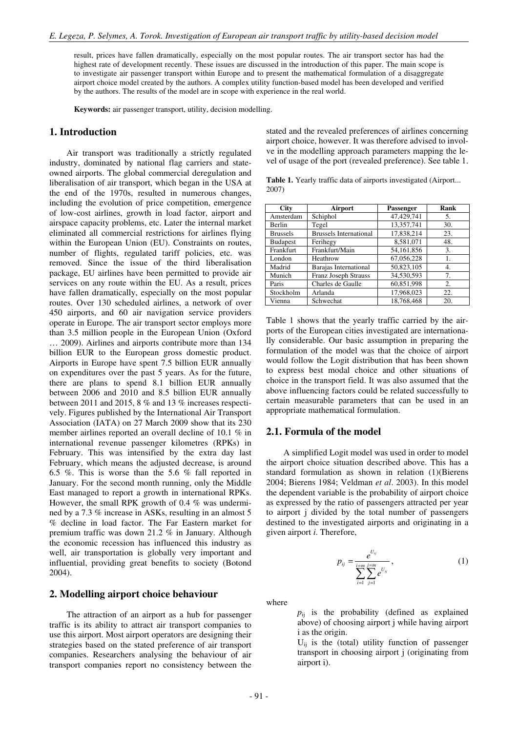result, prices have fallen dramatically, especially on the most popular routes. The air transport sector has had the highest rate of development recently. These issues are discussed in the introduction of this paper. The main scope is to investigate air passenger transport within Europe and to present the mathematical formulation of a disaggregate airport choice model created by the authors. A complex utility function-based model has been developed and verified by the authors. The results of the model are in scope with experience in the real world.

**Keywords:** air passenger transport, utility, decision modelling.

### **1. Introduction**

Air transport was traditionally a strictly regulated industry, dominated by national flag carriers and stateowned airports. The global commercial deregulation and liberalisation of air transport, which began in the USA at the end of the 1970s, resulted in numerous changes, including the evolution of price competition, emergence of low-cost airlines, growth in load factor, airport and airspace capacity problems, etc. Later the internal market eliminated all commercial restrictions for airlines flying within the European Union (EU). Constraints on routes, number of flights, regulated tariff policies, etc. was removed. Since the issue of the third liberalisation package, EU airlines have been permitted to provide air services on any route within the EU. As a result, prices have fallen dramatically, especially on the most popular routes. Over 130 scheduled airlines, a network of over 450 airports, and 60 air navigation service providers operate in Europe. The air transport sector employs more than 3.5 million people in the European Union (Oxford … 2009). Airlines and airports contribute more than 134 billion EUR to the European gross domestic product. Airports in Europe have spent 7.5 billion EUR annually on expenditures over the past 5 years. As for the future, there are plans to spend 8.1 billion EUR annually between 2006 and 2010 and 8.5 billion EUR annually between 2011 and 2015, 8 % and 13 % increases respectively. Figures published by the International Air Transport Association (IATA) on 27 March 2009 show that its 230 member airlines reported an overall decline of 10.1 % in international revenue passenger kilometres (RPKs) in February. This was intensified by the extra day last February, which means the adjusted decrease, is around 6.5 %. This is worse than the 5.6 % fall reported in January. For the second month running, only the Middle East managed to report a growth in international RPKs. However, the small RPK growth of 0.4 % was undermined by a 7.3 % increase in ASKs, resulting in an almost 5 % decline in load factor. The Far Eastern market for premium traffic was down 21.2 % in January. Although the economic recession has influenced this industry as well, air transportation is globally very important and influential, providing great benefits to society (Botond 2004).

# **2. Modelling airport choice behaviour**

The attraction of an airport as a hub for passenger traffic is its ability to attract air transport companies to use this airport. Most airport operators are designing their strategies based on the stated preference of air transport companies. Researchers analysing the behaviour of air transport companies report no consistency between the

stated and the revealed preferences of airlines concerning airport choice, however. It was therefore advised to involve in the modelling approach parameters mapping the level of usage of the port (revealed preference). See table 1.

Table 1. Yearly traffic data of airports investigated (Airport... 2007)

| <b>City</b>     | Airport                       | Passenger    | Rank |
|-----------------|-------------------------------|--------------|------|
| Amsterdam       | Schiphol                      | 47,429,741   | 5.   |
| Berlin          | Tegel                         | 13,357,741   | 30.  |
| <b>Brussels</b> | <b>Brussels International</b> | 17,838,214   | 23.  |
| <b>Budapest</b> | Ferihegy                      | 8,581,071    | 48.  |
| Frankfurt       | Frankfurt/Main                | 54, 161, 856 | 3.   |
| London          | Heathrow                      | 67,056,228   | 1.   |
| Madrid          | Barajas International         | 50,823,105   | 4.   |
| Munich          | <b>Franz Joseph Strauss</b>   | 34,530,593   | 7.   |
| Paris           | Charles de Gaulle             | 60,851,998   | 2.   |
| Stockholm       | Arlanda                       | 17,968,023   | 22.  |
| Vienna          | Schwechat                     | 18,768,468   | 20.  |

Table 1 shows that the yearly traffic carried by the airports of the European cities investigated are internationally considerable. Our basic assumption in preparing the formulation of the model was that the choice of airport would follow the Logit distribution that has been shown to express best modal choice and other situations of choice in the transport field. It was also assumed that the above influencing factors could be related successfully to certain measurable parameters that can be used in an appropriate mathematical formulation.

### **2.1. Formula of the model**

A simplified Logit model was used in order to model the airport choice situation described above. This has a standard formulation as shown in relation (1)(Bierens 2004; Bierens 1984; Veldman *et al*. 2003). In this model the dependent variable is the probability of airport choice as expressed by the ratio of passengers attracted per year to airport j divided by the total number of passengers destined to the investigated airports and originating in a given airport *i*. Therefore,

$$
p_{ij} = \frac{e^{U_{ij}}}{\sum_{i=1}^{i=m} \sum_{j=1}^{j=m} e^{U_{ij}}},
$$
 (1)

where

*p*ij is the probability (defined as explained above) of choosing airport j while having airport i as the origin.

 $U_{ii}$  is the (total) utility function of passenger transport in choosing airport j (originating from airport i).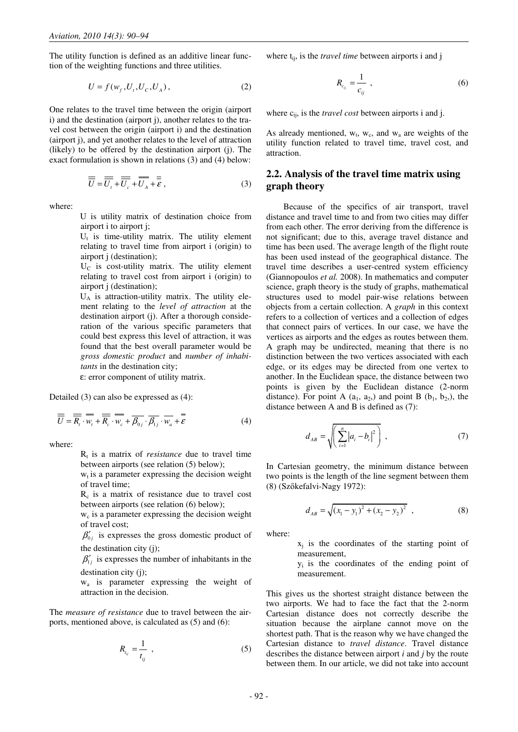The utility function is defined as an additive linear function of the weighting functions and three utilities.

$$
U = f(w_f, U_t, U_c, U_A),
$$
 (2)

One relates to the travel time between the origin (airport i) and the destination (airport j), another relates to the travel cost between the origin (airport i) and the destination (airport j), and yet another relates to the level of attraction (likely) to be offered by the destination airport (j). The exact formulation is shown in relations (3) and (4) below:

$$
\overline{\overline{U}} = \overline{\overline{U}_t} + \overline{\overline{U}_c} + \overline{\overline{U}_A} + \overline{\overline{\varepsilon}},
$$
\n(3)

where:

U is utility matrix of destination choice from airport i to airport j;

 $U_t$  is time-utility matrix. The utility element relating to travel time from airport i (origin) to airport j (destination);

 $U<sub>C</sub>$  is cost-utility matrix. The utility element relating to travel cost from airport i (origin) to airport j (destination);

UA is attraction-utility matrix. The utility element relating to the *level of attraction* at the destination airport (j). After a thorough consideration of the various specific parameters that could best express this level of attraction, it was found that the best overall parameter would be *gross domestic product* and *number of inhabitants* in the destination city;

ε: error component of utility matrix.

Detailed (3) can also be expressed as (4):

$$
\overline{\overline{U}} = \overline{\overline{R}_i} \cdot \overline{w_i} + \overline{\overline{R}_c} \cdot \overline{w_c} + \overline{\beta_{0j}} \cdot \overline{\beta_{1j}} \cdot \overline{w_a} + \overline{\overline{\varepsilon}}
$$
(4)

where:

 $R_t$  is a matrix of *resistance* due to travel time between airports (see relation (5) below);

 $w_t$  is a parameter expressing the decision weight of travel time;

 $R_c$  is a matrix of resistance due to travel cost between airports (see relation (6) below);

 $w_c$  is a parameter expressing the decision weight of travel cost;

 $\beta'_{0j}$  is expresses the gross domestic product of the destination city (j);

 $\beta'_{1j}$  is expresses the number of inhabitants in the destination city (j);

wa is parameter expressing the weight of attraction in the decision.

The *measure of resistance* due to travel between the airports, mentioned above, is calculated as (5) and (6):

$$
R_{t_{ij}} = \frac{1}{t_{ij}} \tag{5}
$$

where t<sub>ij</sub>, is the *travel time* between airports i and j

$$
R_{c_{ij}} = \frac{1}{c_{ij}} \tag{6}
$$

where  $c_{ij}$ , is the *travel cost* between airports i and j.

As already mentioned,  $w_t$ ,  $w_c$ , and  $w_a$  are weights of the utility function related to travel time, travel cost, and attraction.

# **2.2. Analysis of the travel time matrix using graph theory**

Because of the specifics of air transport, travel distance and travel time to and from two cities may differ from each other. The error deriving from the difference is not significant; due to this, average travel distance and time has been used. The average length of the flight route has been used instead of the geographical distance. The travel time describes a user-centred system efficiency (Giannopoulos *et al.* 2008). In mathematics and computer science, graph theory is the study of graphs, mathematical structures used to model pair-wise relations between objects from a certain collection. A *graph* in this context refers to a collection of vertices and a collection of edges that connect pairs of vertices. In our case, we have the vertices as airports and the edges as routes between them. A graph may be undirected, meaning that there is no distinction between the two vertices associated with each edge, or its edges may be directed from one vertex to another. In the Euclidean space, the distance between two points is given by the Euclidean distance (2-norm distance). For point A  $(a_1, a_2)$  and point B  $(b_1, b_2)$ , the distance between A and B is defined as (7):

$$
d_{AB} = \sqrt{\left(\sum_{i=1}^{n} |a_i - b_i|^2\right)} \tag{7}
$$

In Cartesian geometry, the minimum distance between two points is the length of the line segment between them (8) (Szőkefalvi-Nagy 1972):

$$
d_{AB} = \sqrt{(x_1 - y_1)^2 + (x_2 - y_2)^2} \quad , \tag{8}
$$

where:

 $x_j$  is the coordinates of the starting point of measurement,

yi is the coordinates of the ending point of measurement.

This gives us the shortest straight distance between the two airports. We had to face the fact that the 2-norm Cartesian distance does not correctly describe the situation because the airplane cannot move on the shortest path. That is the reason why we have changed the Cartesian distance to *travel distance*. Travel distance describes the distance between airport *i* and *j* by the route between them. In our article, we did not take into account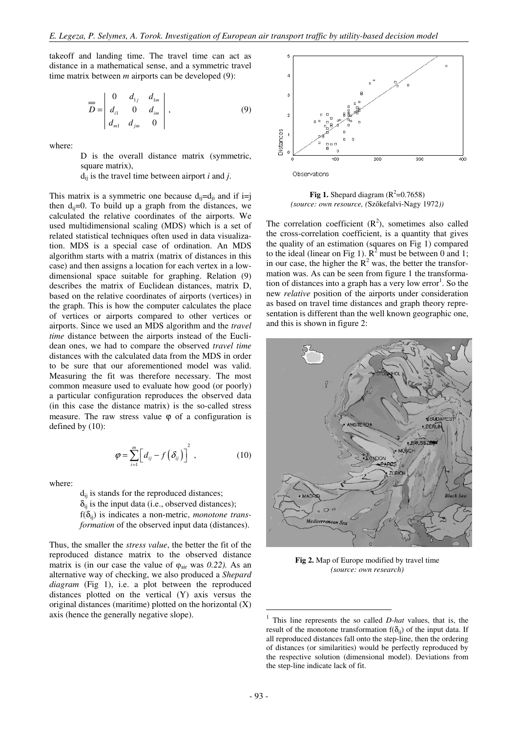takeoff and landing time. The travel time can act as distance in a mathematical sense, and a symmetric travel time matrix between *m* airports can be developed (9):

$$
\overline{D} = \begin{vmatrix} 0 & d_{1j} & d_{1m} \\ d_{i1} & 0 & d_{im} \\ d_{m1} & d_{jm} & 0 \end{vmatrix},
$$
 (9)

where:

D is the overall distance matrix (symmetric, square matrix),

 $d_{ii}$  is the travel time between airport *i* and *j*.

This matrix is a symmetric one because  $d_{ii} = d_{ii}$  and if  $i = j$ then  $d_{ii}=0$ . To build up a graph from the distances, we calculated the relative coordinates of the airports. We used multidimensional scaling (MDS) which is a set of related statistical techniques often used in data visualization. MDS is a special case of ordination. An MDS algorithm starts with a matrix (matrix of distances in this case) and then assigns a location for each vertex in a lowdimensional space suitable for graphing. Relation (9) describes the matrix of Euclidean distances, matrix D, based on the relative coordinates of airports (vertices) in the graph. This is how the computer calculates the place of vertices or airports compared to other vertices or airports. Since we used an MDS algorithm and the *travel time* distance between the airports instead of the Euclidean ones, we had to compare the observed *travel time* distances with the calculated data from the MDS in order to be sure that our aforementioned model was valid. Measuring the fit was therefore necessary. The most common measure used to evaluate how good (or poorly) a particular configuration reproduces the observed data (in this case the distance matrix) is the so-called stress measure. The raw stress value  $\varphi$  of a configuration is defined by (10):

$$
\varphi = \sum_{i=1}^{m} \left[ d_{ij} - f\left(\delta_{ij}\right) \right]^2, \qquad (10)
$$

where:

 $d_{ii}$  is stands for the reproduced distances;  $\delta_{ii}$  is the input data (i.e., observed distances); f(δij) is indicates a non-metric, *monotone transformation* of the observed input data (distances).

Thus, the smaller the *stress value*, the better the fit of the reproduced distance matrix to the observed distance matrix is (in our case the value of  $\varphi_{\text{air}}$  was 0.22). As an alternative way of checking, we also produced a *Shepard diagram* (Fig 1), i.e. a plot between the reproduced distances plotted on the vertical (Y) axis versus the original distances (maritime) plotted on the horizontal (X) axis (hence the generally negative slope).



**Fig 1.** Shepard diagram  $(R^2=0.7658)$ *(source: own resource, (*Szőkefalvi-Nagy 1972*))*

The correlation coefficient  $(R^2)$ , sometimes also called the cross-correlation coefficient, is a quantity that gives the quality of an estimation (squares on Fig 1) compared to the ideal (linear on Fig 1).  $R^2$  must be between 0 and 1; in our case, the higher the  $R^2$  was, the better the transformation was. As can be seen from figure 1 the transformation of distances into a graph has a very low error<sup>1</sup>. So the new *relative* position of the airports under consideration as based on travel time distances and graph theory representation is different than the well known geographic one, and this is shown in figure 2:



**Fig 2.** Map of Europe modified by travel time *(source: own research)*

-

<sup>1</sup> This line represents the so called *D-hat* values, that is, the result of the monotone transformation  $f(\delta_{ii})$  of the input data. If all reproduced distances fall onto the step-line, then the ordering of distances (or similarities) would be perfectly reproduced by the respective solution (dimensional model). Deviations from the step-line indicate lack of fit.